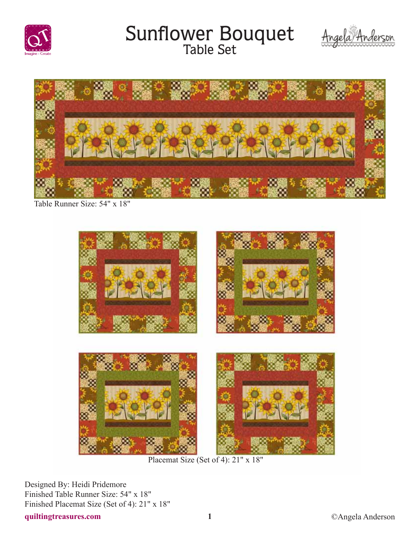

### Sunflower Bouquet





Table Runner Size: 54" x 18"



Placemat Size (Set of 4): 21" x 18"

Designed By: Heidi Pridemore Finished Table Runner Size: 54" x 18" Finished Placemat Size (Set of 4): 21" x 18"

**quiltingtreasures.com 1** ©Angela Anderson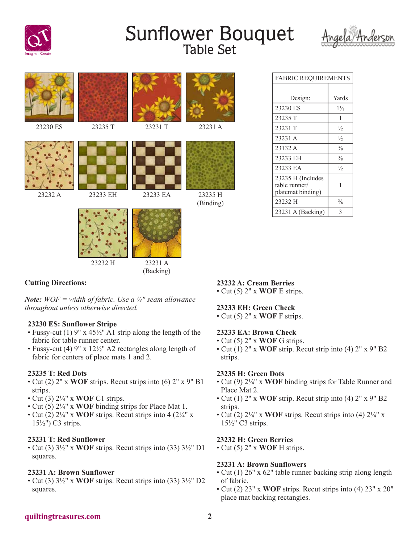

# Sunflower Bouquet<br>Table Set





| <b>FABRIC REQUIREMENTS</b>                              |                |
|---------------------------------------------------------|----------------|
|                                                         |                |
| Design:                                                 | Yards          |
| 23230 ES                                                | $1\frac{1}{3}$ |
| 23235 T                                                 | 1              |
| 23231 T                                                 | $\frac{1}{2}$  |
| 23231 A                                                 | $\frac{1}{2}$  |
| 23132 A                                                 | $\frac{3}{8}$  |
| 23233 EH                                                | $\frac{3}{8}$  |
| 23233 EA                                                | $\frac{1}{2}$  |
| 23235 H (Includes<br>table runner/<br>platemat binding) | 1              |
| 23232 H                                                 | $\frac{3}{8}$  |
| 23231 A (Backing)                                       | 3              |

#### **Cutting Directions:**

*Note: WOF = width of fabric. Use a ¼" seam allowance throughout unless otherwise directed.*

#### **23230 ES: Sunflower Stripe**

- Fussy-cut (1) 9" x 45½" A1 strip along the length of the fabric for table runner center.
- Fussy-cut (4) 9" x 12½" A2 rectangles along length of fabric for centers of place mats 1 and 2.

#### **23235 T: Red Dots**

- Cut (2) 2" x **WOF** strips. Recut strips into (6) 2" x 9" B1 strips.
- Cut (3) 2¼" x **WOF** C1 strips.
- Cut (5) 2¼" x **WOF** binding strips for Place Mat 1.
- Cut (2)  $2\frac{1}{4}$ " x **WOF** strips. Recut strips into 4  $(2\frac{1}{4}$ " x 15½") C3 strips.

#### **23231 T: Red Sunflower**

• Cut (3) 3½" x **WOF** strips. Recut strips into (33) 3½" D1 squares.

#### **23231 A: Brown Sunflower**

• Cut (3) 3½" x **WOF** strips. Recut strips into (33) 3½" D2 squares.

#### **23232 A: Cream Berries**

• Cut (5) 2" x **WOF** E strips.

### **23233 EH: Green Check**

• Cut (5) 2" x **WOF** F strips.

#### **23233 EA: Brown Check**

- Cut (5) 2" x **WOF** G strips.
- Cut (1) 2" x **WOF** strip. Recut strip into (4) 2" x 9" B2 strips.

#### **23235 H: Green Dots**

- Cut (9) 2¼" x **WOF** binding strips for Table Runner and Place Mat 2.
- Cut (1) 2" x **WOF** strip. Recut strip into (4) 2" x 9" B2 strips.
- Cut (2)  $2\frac{1}{4}$ " x **WOF** strips. Recut strips into (4)  $2\frac{1}{4}$ " x 15½" C3 strips.

#### **23232 H: Green Berries**

• Cut (5) 2" x **WOF** H strips.

#### **23231 A: Brown Sunflowers**

- Cut (1) 26" x 62" table runner backing strip along length of fabric.
- Cut (2) 23" x **WOF** strips. Recut strips into (4) 23" x 20" place mat backing rectangles.

#### **quiltingtreasures.com 2**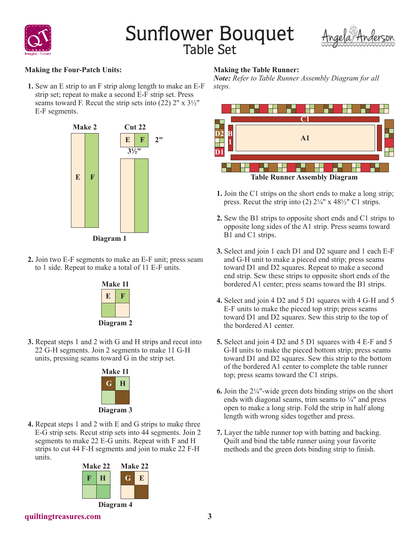

# Sunflower Bouquet



#### **Making the Four-Patch Units:**

**1.** Sew an E strip to an F strip along length to make an E-F strip set; repeat to make a second E-F strip set. Press seams toward F. Recut the strip sets into  $(22)$  2" x  $3\frac{1}{2}$ " E-F segments.



- 
- **2.** Join two E-F segments to make an E-F unit; press seam to 1 side. Repeat to make a total of 11 E-F units.



**3.** Repeat steps 1 and 2 with G and H strips and recut into 22 G-H segments. Join 2 segments to make 11 G-H units, pressing seams toward G in the strip set.



**4.** Repeat steps 1 and 2 with E and G strips to make three E-G strip sets. Recut strip sets into 44 segments. Join 2 segments to make 22 E-G units. Repeat with F and H strips to cut 44 F-H segments and join to make 22 F-H units.



#### **Making the Table Runner:**

*Note: Refer to Table Runner Assembly Diagram for all steps.*



- **1.** Join the C1 strips on the short ends to make a long strip; press. Recut the strip into (2)  $2\frac{1}{4}$ " x  $48\frac{1}{2}$ " C1 strips.
- **2.** Sew the B1 strips to opposite short ends and C1 strips to opposite long sides of the A1 strip. Press seams toward B1 and C1 strips.
- **3.** Select and join 1 each D1 and D2 square and 1 each E-F and G-H unit to make a pieced end strip; press seams toward D1 and D2 squares. Repeat to make a second end strip. Sew these strips to opposite short ends of the bordered A1 center; press seams toward the B1 strips.
- **4.** Select and join 4 D2 and 5 D1 squares with 4 G-H and 5 E-F units to make the pieced top strip; press seams toward D1 and D2 squares. Sew this strip to the top of the bordered A1 center.
- **5.** Select and join 4 D2 and 5 D1 squares with 4 E-F and 5 G-H units to make the pieced bottom strip; press seams toward D1 and D2 squares. Sew this strip to the bottom of the bordered A1 center to complete the table runner top; press seams toward the C1 strips.
- **6.** Join the 2¼"-wide green dots binding strips on the short ends with diagonal seams, trim seams to  $\frac{1}{4}$ " and press open to make a long strip. Fold the strip in half along length with wrong sides together and press.
- **7.** Layer the table runner top with batting and backing. Quilt and bind the table runner using your favorite methods and the green dots binding strip to finish.

**quiltingtreasures.com 3**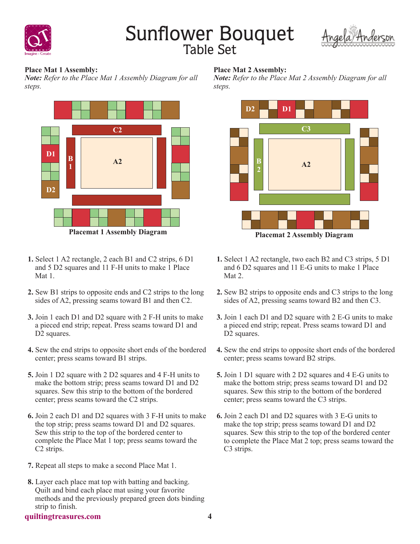

## Sunflower Bouquet



**Place Mat 1 Assembly:**

*Note: Refer to the Place Mat 1 Assembly Diagram for all steps.*



- **1.** Select 1 A2 rectangle, 2 each B1 and C2 strips, 6 D1 and 5 D2 squares and 11 F-H units to make 1 Place Mat 1.
- **2.** Sew B1 strips to opposite ends and C2 strips to the long sides of A2, pressing seams toward B1 and then C2.
- **3.** Join 1 each D1 and D2 square with 2 F-H units to make a pieced end strip; repeat. Press seams toward D1 and D<sub>2</sub> squares.
- **4.** Sew the end strips to opposite short ends of the bordered center; press seams toward B1 strips.
- **5.** Join 1 D2 square with 2 D2 squares and 4 F-H units to make the bottom strip; press seams toward D1 and D2 squares. Sew this strip to the bottom of the bordered center; press seams toward the C2 strips.
- **6.** Join 2 each D1 and D2 squares with 3 F-H units to make the top strip; press seams toward D1 and D2 squares. Sew this strip to the top of the bordered center to complete the Place Mat 1 top; press seams toward the C2 strips.
- **7.** Repeat all steps to make a second Place Mat 1.
- **8.** Layer each place mat top with batting and backing. Quilt and bind each place mat using your favorite methods and the previously prepared green dots binding strip to finish.

#### **Place Mat 2 Assembly:**

*Note: Refer to the Place Mat 2 Assembly Diagram for all steps.*



- **1.** Select 1 A2 rectangle, two each B2 and C3 strips, 5 D1 and 6 D2 squares and 11 E-G units to make 1 Place Mat 2.
- **2.** Sew B2 strips to opposite ends and C3 strips to the long sides of A2, pressing seams toward B2 and then C3.
- **3.** Join 1 each D1 and D2 square with 2 E-G units to make a pieced end strip; repeat. Press seams toward D1 and D<sub>2</sub> squares.
- **4.** Sew the end strips to opposite short ends of the bordered center; press seams toward B2 strips.
- **5.** Join 1 D1 square with 2 D2 squares and 4 E-G units to make the bottom strip; press seams toward D1 and D2 squares. Sew this strip to the bottom of the bordered center; press seams toward the C3 strips.
- **6.** Join 2 each D1 and D2 squares with 3 E-G units to make the top strip; press seams toward D1 and D2 squares. Sew this strip to the top of the bordered center to complete the Place Mat 2 top; press seams toward the C<sub>3</sub> strips.

#### **quiltingtreasures.com 4**